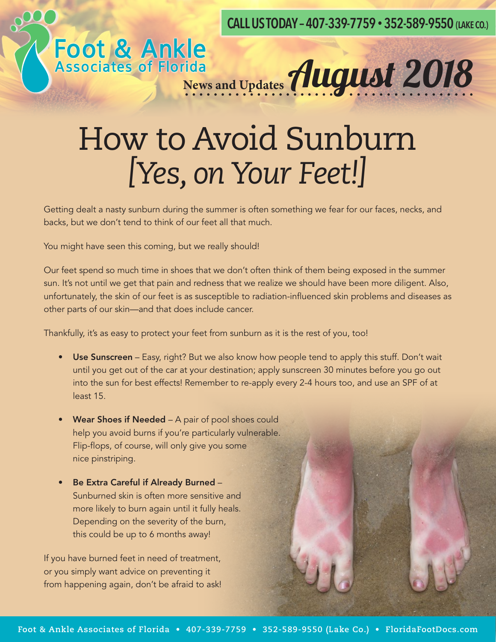**CALL US TODAY – 407-339-7759 • 352-589-9550 (LAKE CO.)**

### How to Avoid Sunburn *[Yes, on Your Feet!]*

Foot & Ankle<br>Associates of Florida<br>News and Updates **August 2018** 

Getting dealt a nasty sunburn during the summer is often something we fear for our faces, necks, and backs, but we don't tend to think of our feet all that much.

You might have seen this coming, but we really should!

Our feet spend so much time in shoes that we don't often think of them being exposed in the summer sun. It's not until we get that pain and redness that we realize we should have been more diligent. Also, unfortunately, the skin of our feet is as susceptible to radiation-influenced skin problems and diseases as other parts of our skin—and that does include cancer.

Thankfully, it's as easy to protect your feet from sunburn as it is the rest of you, too!

- Use Sunscreen Easy, right? But we also know how people tend to apply this stuff. Don't wait until you get out of the car at your destination; apply sunscreen 30 minutes before you go out into the sun for best effects! Remember to re-apply every 2-4 hours too, and use an SPF of at least 15.
- Wear Shoes if Needed A pair of pool shoes could help you avoid burns if you're particularly vulnerable. Flip-flops, of course, will only give you some nice pinstriping.
- Be Extra Careful if Already Burned Sunburned skin is often more sensitive and more likely to burn again until it fully heals. Depending on the severity of the burn, this could be up to 6 months away!

If you have burned feet in need of treatment, or you simply want advice on preventing it from happening again, don't be afraid to ask!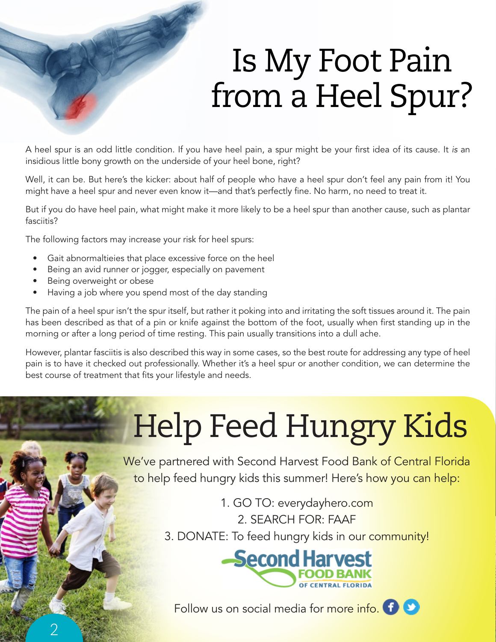## Is My Foot Pain from a Heel Spur?

A heel spur is an odd little condition. If you have heel pain, a spur might be your first idea of its cause. It *is* an insidious little bony growth on the underside of your heel bone, right?

Well, it can be. But here's the kicker: about half of people who have a heel spur don't feel any pain from it! You might have a heel spur and never even know it—and that's perfectly fine. No harm, no need to treat it.

But if you do have heel pain, what might make it more likely to be a heel spur than another cause, such as plantar fasciitis?

The following factors may increase your risk for heel spurs:

- Gait abnormaltieies that place excessive force on the heel
- Being an avid runner or jogger, especially on pavement
- Being overweight or obese

2

• Having a job where you spend most of the day standing

The pain of a heel spur isn't the spur itself, but rather it poking into and irritating the soft tissues around it. The pain has been described as that of a pin or knife against the bottom of the foot, usually when first standing up in the morning or after a long period of time resting. This pain usually transitions into a dull ache.

However, plantar fasciitis is also described this way in some cases, so the best route for addressing any type of heel pain is to have it checked out professionally. Whether it's a heel spur or another condition, we can determine the best course of treatment that fits your lifestyle and needs.

# Help Feed Hungry Kids

We've partnered with Second Harvest Food Bank of Central Florida to help feed hungry kids this summer! Here's how you can help:

> 1. GO TO: everydayhero.com 2. SEARCH FOR: FAAF

3. DONATE: To feed hungry kids in our community!



Follow us on social media for more info. **(1)** 

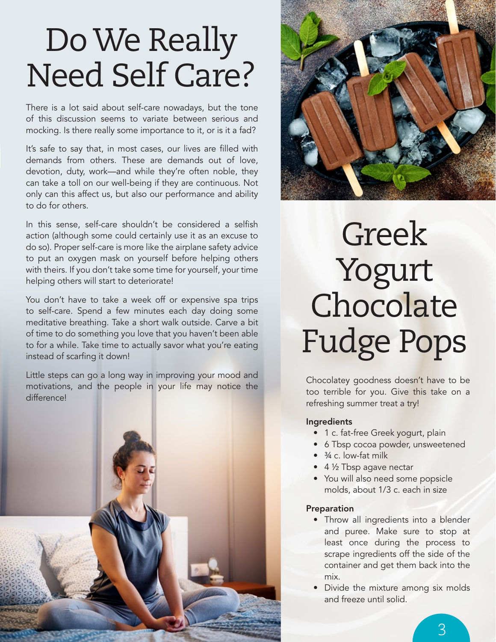### Do We Really Need Self Care?

There is a lot said about self-care nowadays, but the tone of this discussion seems to variate between serious and mocking. Is there really some importance to it, or is it a fad?

It's safe to say that, in most cases, our lives are filled with demands from others. These are demands out of love, devotion, duty, work—and while they're often noble, they can take a toll on our well-being if they are continuous. Not only can this affect us, but also our performance and ability to do for others.

In this sense, self-care shouldn't be considered a selfish action (although some could certainly use it as an excuse to do so). Proper self-care is more like the airplane safety advice to put an oxygen mask on yourself before helping others with theirs. If you don't take some time for yourself, your time helping others will start to deteriorate!

You don't have to take a week off or expensive spa trips to self-care. Spend a few minutes each day doing some meditative breathing. Take a short walk outside. Carve a bit of time to do something you love that you haven't been able to for a while. Take time to actually savor what you're eating instead of scarfing it down!

Little steps can go a long way in improving your mood and motivations, and the people in your life may notice the difference!





### Greek Yogurt Chocolate Fudge Pops

Chocolatey goodness doesn't have to be too terrible for you. Give this take on a refreshing summer treat a try!

#### Ingredients

- 1 c. fat-free Greek yogurt, plain
- 6 Tbsp cocoa powder, unsweetened
- $\bullet$   $\frac{3}{4}$  c. low-fat milk
- 4 1/2 Tbsp agave nectar
- You will also need some popsicle molds, about 1/3 c. each in size

#### **Preparation**

- Throw all ingredients into a blender and puree. Make sure to stop at least once during the process to scrape ingredients off the side of the container and get them back into the mix.
- Divide the mixture among six molds and freeze until solid.